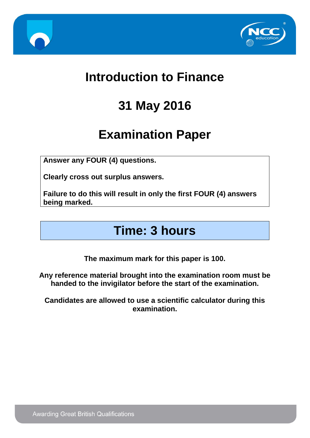



### **Introduction to Finance**

# **31 May 2016**

## **Examination Paper**

**Answer any FOUR (4) questions.**

**Clearly cross out surplus answers.**

**Failure to do this will result in only the first FOUR (4) answers being marked.**

### **Time: 3 hours**

**The maximum mark for this paper is 100.**

**Any reference material brought into the examination room must be handed to the invigilator before the start of the examination.**

**Candidates are allowed to use a scientific calculator during this examination.**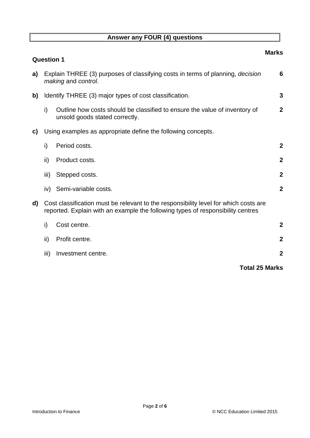#### **Answer any FOUR (4) questions**

|    | <b>Question 1</b>                                            |                                                                                                                                                                         | <b>Marks</b>     |
|----|--------------------------------------------------------------|-------------------------------------------------------------------------------------------------------------------------------------------------------------------------|------------------|
| a) |                                                              | Explain THREE (3) purposes of classifying costs in terms of planning, decision<br>making and control.                                                                   | 6                |
| b) | Identify THREE (3) major types of cost classification.       |                                                                                                                                                                         | 3                |
|    | i)                                                           | Outline how costs should be classified to ensure the value of inventory of<br>unsold goods stated correctly.                                                            | $\boldsymbol{2}$ |
| C) | Using examples as appropriate define the following concepts. |                                                                                                                                                                         |                  |
|    | i)                                                           | Period costs.                                                                                                                                                           | $\boldsymbol{2}$ |
|    | ii)                                                          | Product costs.                                                                                                                                                          | $\mathbf{2}$     |
|    | iii)                                                         | Stepped costs.                                                                                                                                                          | $\overline{2}$   |
|    | iv)                                                          | Semi-variable costs.                                                                                                                                                    | $\mathbf{2}$     |
| d) |                                                              | Cost classification must be relevant to the responsibility level for which costs are<br>reported. Explain with an example the following types of responsibility centres |                  |
|    | i)                                                           | Cost centre.                                                                                                                                                            | $\boldsymbol{2}$ |
|    | ii)                                                          | Profit centre.                                                                                                                                                          | $\mathbf{2}$     |
|    | iii)                                                         | Investment centre.                                                                                                                                                      | $\boldsymbol{2}$ |
|    |                                                              | <b>Total 25 Marks</b>                                                                                                                                                   |                  |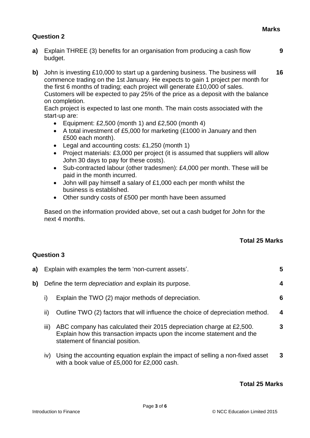**9**

#### **Question 2**

- **a)** Explain THREE (3) benefits for an organisation from producing a cash flow budget.
- **b)** John is investing £10,000 to start up a gardening business. The business will commence trading on the 1st January. He expects to gain 1 project per month for the first 6 months of trading; each project will generate £10,000 of sales. Customers will be expected to pay 25% of the price as a deposit with the balance on completion. **16**

Each project is expected to last one month. The main costs associated with the start-up are:

- Equipment:  $£2,500$  (month 1) and  $£2,500$  (month 4)
- A total investment of £5,000 for marketing (£1000 in January and then £500 each month).
- Legal and accounting costs: £1,250 (month 1)
- Project materials: £3,000 per project (it is assumed that suppliers will allow John 30 days to pay for these costs).
- Sub-contracted labour (other tradesmen): £4,000 per month. These will be paid in the month incurred.
- John will pay himself a salary of £1,000 each per month whilst the business is established.
- Other sundry costs of £500 per month have been assumed

Based on the information provided above, set out a cash budget for John for the next 4 months.

#### **Total 25 Marks**

#### **Question 3**

| a) |                                                              | Explain with examples the term 'non-current assets'.<br>5                                                                                                                          |   |
|----|--------------------------------------------------------------|------------------------------------------------------------------------------------------------------------------------------------------------------------------------------------|---|
| b) | Define the term <i>depreciation</i> and explain its purpose. |                                                                                                                                                                                    |   |
|    | I)                                                           | Explain the TWO (2) major methods of depreciation.                                                                                                                                 | 6 |
|    | ii)                                                          | Outline TWO (2) factors that will influence the choice of depreciation method.                                                                                                     | 4 |
|    | $\mathbf{III}$                                               | ABC company has calculated their 2015 depreciation charge at £2,500.<br>Explain how this transaction impacts upon the income statement and the<br>statement of financial position. | 3 |

iv) Using the accounting equation explain the impact of selling a non-fixed asset with a book value of £5,000 for £2,000 cash. **3**

#### **Total 25 Marks**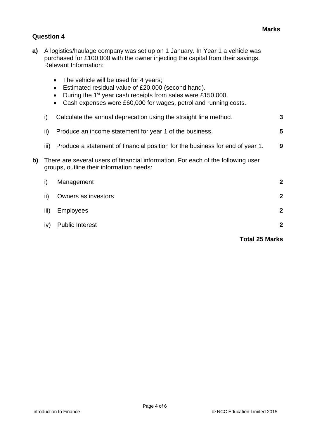#### **Question 4**

- **a)** A logistics/haulage company was set up on 1 January. In Year 1 a vehicle was purchased for £100,000 with the owner injecting the capital from their savings. Relevant Information:
	- The vehicle will be used for 4 years;
	- Estimated residual value of £20,000 (second hand).
	- During the  $1<sup>st</sup>$  year cash receipts from sales were £150,000.
	- Cash expenses were £60,000 for wages, petrol and running costs.

|    | i)   | Calculate the annual deprecation using the straight line method.                                                             | 3              |  |
|----|------|------------------------------------------------------------------------------------------------------------------------------|----------------|--|
|    | ii)  | Produce an income statement for year 1 of the business.                                                                      | 5              |  |
|    | III) | Produce a statement of financial position for the business for end of year 1.                                                | 9              |  |
| b) |      | There are several users of financial information. For each of the following user<br>groups, outline their information needs: |                |  |
|    | i)   | Management                                                                                                                   | $\mathbf 2$    |  |
|    | ii)  | Owners as investors                                                                                                          | $\overline{2}$ |  |
|    | iii) | <b>Employees</b>                                                                                                             | $\mathbf 2$    |  |
|    | iv)  | <b>Public Interest</b>                                                                                                       | $\mathbf 2$    |  |
|    |      |                                                                                                                              |                |  |

#### **Total 25 Marks**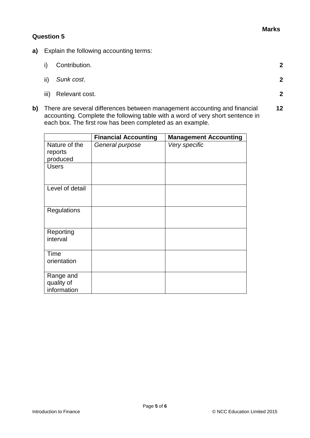#### **Question 5**

- **a)** Explain the following accounting terms:
	- i) Contribution. **2**
	- ii) *Sunk cost*. **2**
	- iii) Relevant cost. **2**
- **b)** There are several differences between management accounting and financial accounting. Complete the following table with a word of very short sentence in each box. The first row has been completed as an example. **12**

|                                        | <b>Financial Accounting</b> | <b>Management Accounting</b> |
|----------------------------------------|-----------------------------|------------------------------|
| Nature of the<br>reports<br>produced   | General purpose             | Very specific                |
| <b>Users</b>                           |                             |                              |
| Level of detail                        |                             |                              |
| <b>Regulations</b>                     |                             |                              |
| Reporting<br>interval                  |                             |                              |
| Time<br>orientation                    |                             |                              |
| Range and<br>quality of<br>information |                             |                              |